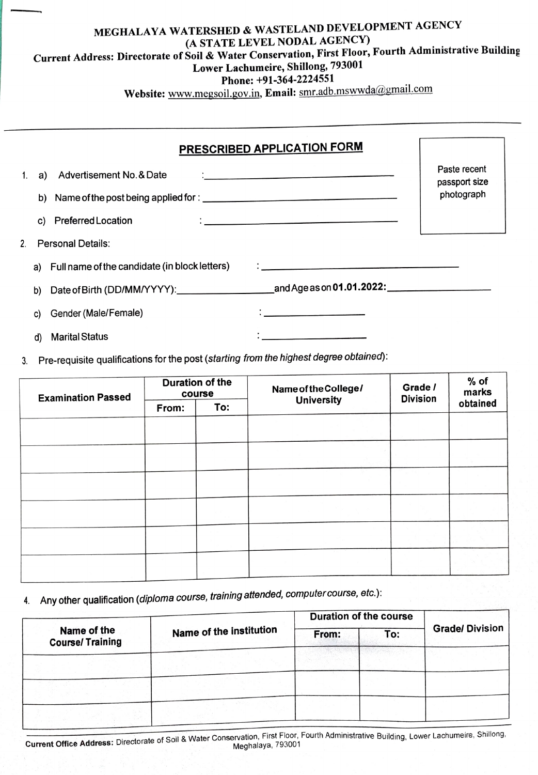## MEGHALAYA WATERSHED & WASTELAND DEVELOPMENT AGENCY (A STATE LEVEL NODAL AGENCY) Current Address: Directorate of Soil & Water Conservation, First Floor, Fourth Administrative Building Lower Lachumeire, Shillong, <sup>793001</sup> Phone: +91-364-2224551

Website: www.megsoil.gov.in, Email: smr.adb.mswwda@gmail.com

|    |    | PRESCRIBED APPLICATION FORM                                                                                                                                                                                                                                                                                                                                                                                                                                                                                                |                               |
|----|----|----------------------------------------------------------------------------------------------------------------------------------------------------------------------------------------------------------------------------------------------------------------------------------------------------------------------------------------------------------------------------------------------------------------------------------------------------------------------------------------------------------------------------|-------------------------------|
|    |    | 1. a) Advertisement No. & Date<br>the contract of the contract of the contract of the contract of the contract of the contract of                                                                                                                                                                                                                                                                                                                                                                                          | Paste recent<br>passport size |
|    |    |                                                                                                                                                                                                                                                                                                                                                                                                                                                                                                                            | photograph                    |
|    |    | c) Preferred Location<br>$\begin{minipage}{.4\linewidth} \begin{tabular}{l} \multicolumn{2}{c} {\textbf{1}} & \multicolumn{2}{c} {\textbf{1}} & \multicolumn{2}{c} {\textbf{1}} \\ \multicolumn{2}{c} {\textbf{2}} & \multicolumn{2}{c} {\textbf{3}} & \multicolumn{2}{c} {\textbf{4}} \\ \multicolumn{2}{c} {\textbf{5}} & \multicolumn{2}{c} {\textbf{6}} & \multicolumn{2}{c} {\textbf{6}} \\ \multicolumn{2}{c} {\textbf{6}} & \multicolumn{2}{c} {\textbf{6}} & \multicolumn{2}{c} {\textbf{6}} \\ \multicolumn{2}{c$ |                               |
| 2. |    | <b>Personal Details:</b>                                                                                                                                                                                                                                                                                                                                                                                                                                                                                                   |                               |
|    |    | a) Full name of the candidate (in block letters)<br>$\ddotsc$ . The contract of the contract of the contract of the contract of the contract of the contract of the contract of the contract of the contract of the contract of the contract of the contract of the contract of the                                                                                                                                                                                                                                        |                               |
|    | b) |                                                                                                                                                                                                                                                                                                                                                                                                                                                                                                                            |                               |
|    | C) | $\ddot{\cdot}$ . The contract of the contract of the contract of the contract of the contract of the contract of the contract of the contract of the contract of the contract of the contract of the contract of the contract of th<br>Gender (Male/Female)                                                                                                                                                                                                                                                                |                               |
|    | d) | <b>Marital Status</b><br><u> 1980 - John Harry Harry Harry Harry Harry Harry Harry Harry Harry Harry Harry Harry Harry Harry Harry Harry H</u>                                                                                                                                                                                                                                                                                                                                                                             |                               |

3. Pre-requisite qualifications for the post (starting from the highest degree obtained):

| <b>Examination Passed</b> | <b>Duration of the</b><br>course |     | Name of the College/<br><b>University</b> | Grade /<br><b>Division</b> | $%$ of<br>marks |
|---------------------------|----------------------------------|-----|-------------------------------------------|----------------------------|-----------------|
|                           | From:                            | To: |                                           |                            | obtained        |
|                           |                                  |     |                                           |                            |                 |
|                           |                                  |     |                                           |                            |                 |
|                           |                                  |     |                                           |                            |                 |
|                           |                                  |     |                                           |                            |                 |
|                           |                                  |     |                                           |                            |                 |
|                           |                                  |     |                                           |                            |                 |

4. Any other qualification (diploma course, training attended, computer course, etc.):

|                                       |                                | <b>Duration of the course</b> |     |                       |  |
|---------------------------------------|--------------------------------|-------------------------------|-----|-----------------------|--|
| Name of the<br><b>Course/Training</b> | <b>Name of the institution</b> | From:                         | To: | <b>Grade/Division</b> |  |
|                                       |                                |                               |     |                       |  |
|                                       |                                |                               |     |                       |  |
|                                       |                                |                               |     |                       |  |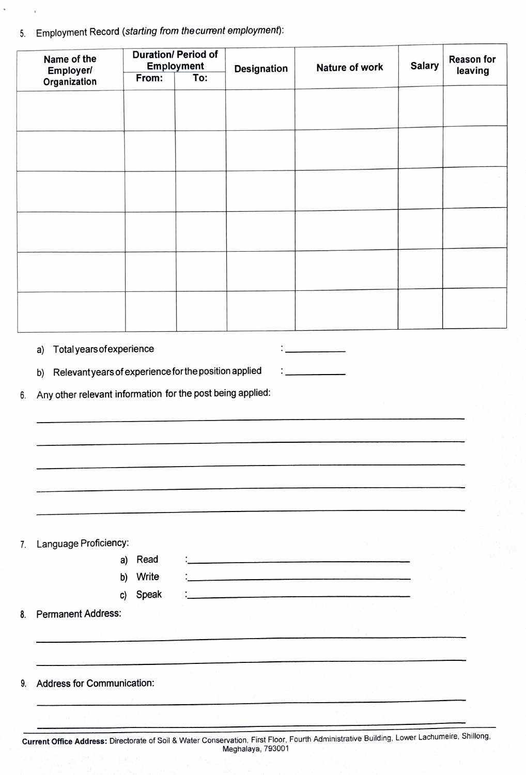5. Employment Record (starting from the current employment):

 $\mathbf{r}$ 

| Name of the<br>Employer/                                                                                                  | <b>Duration/ Period of</b><br><b>Employment</b> |     | Designation                                                                                                           | Nature of work | <b>Salary</b> | Reason for |
|---------------------------------------------------------------------------------------------------------------------------|-------------------------------------------------|-----|-----------------------------------------------------------------------------------------------------------------------|----------------|---------------|------------|
| Organization                                                                                                              | From:                                           | To: |                                                                                                                       |                |               | leaving    |
|                                                                                                                           |                                                 |     |                                                                                                                       |                |               |            |
|                                                                                                                           |                                                 |     |                                                                                                                       |                |               |            |
|                                                                                                                           |                                                 |     |                                                                                                                       |                |               |            |
|                                                                                                                           |                                                 |     |                                                                                                                       |                |               |            |
|                                                                                                                           |                                                 |     |                                                                                                                       |                |               |            |
|                                                                                                                           |                                                 |     |                                                                                                                       |                |               |            |
|                                                                                                                           |                                                 |     |                                                                                                                       |                |               |            |
|                                                                                                                           |                                                 |     |                                                                                                                       |                |               |            |
|                                                                                                                           |                                                 |     |                                                                                                                       |                |               |            |
|                                                                                                                           |                                                 |     |                                                                                                                       |                |               |            |
|                                                                                                                           |                                                 |     |                                                                                                                       |                |               |            |
|                                                                                                                           |                                                 |     |                                                                                                                       |                |               |            |
|                                                                                                                           |                                                 |     |                                                                                                                       |                |               |            |
|                                                                                                                           |                                                 |     |                                                                                                                       |                |               |            |
|                                                                                                                           |                                                 |     |                                                                                                                       |                |               |            |
| Relevant years of experience for the position applied<br>b)<br>Any other relevant information for the post being applied: |                                                 |     |                                                                                                                       |                |               |            |
|                                                                                                                           |                                                 |     |                                                                                                                       |                |               |            |
|                                                                                                                           |                                                 |     |                                                                                                                       |                |               |            |
|                                                                                                                           |                                                 |     |                                                                                                                       |                |               |            |
|                                                                                                                           |                                                 |     |                                                                                                                       |                |               |            |
| Language Proficiency:                                                                                                     | a) Read                                         |     | <u> Alian de la Carlo de la Carlo de la Carlo de la Carlo de la Carlo de la Carlo de la Carlo de la Carlo de la C</u> |                |               |            |
|                                                                                                                           | b) Write                                        |     |                                                                                                                       |                |               |            |
| c)                                                                                                                        | Speak                                           |     |                                                                                                                       |                |               |            |
|                                                                                                                           |                                                 |     |                                                                                                                       |                |               |            |
|                                                                                                                           |                                                 |     |                                                                                                                       |                |               |            |
| <b>Permanent Address:</b><br><b>Address for Communication:</b>                                                            |                                                 |     |                                                                                                                       |                |               |            |
|                                                                                                                           |                                                 |     |                                                                                                                       |                |               |            |